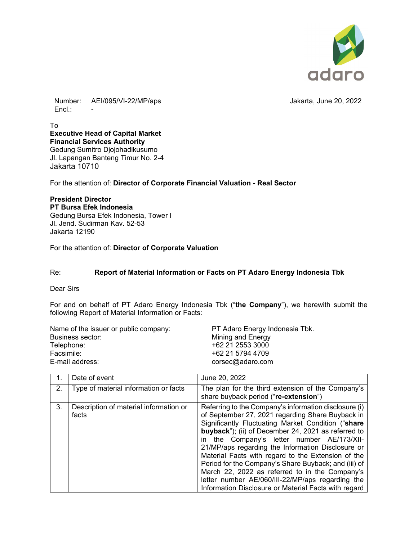

Number: AEI/095/VI-22/MP/aps Jakarta, June 20, 2022 Encl.: -

To **Executive Head of Capital Market Financial Services Authority**  Gedung Sumitro Djojohadikusumo Jl. Lapangan Banteng Timur No. 2-4 Jakarta 10710

For the attention of: **Director of Corporate Financial Valuation - Real Sector** 

## **President Director PT Bursa Efek Indonesia**  Gedung Bursa Efek Indonesia, Tower I Jl. Jend. Sudirman Kav. 52-53 Jakarta 12190

For the attention of: **Director of Corporate Valuation** 

## Re: **Report of Material Information or Facts on PT Adaro Energy Indonesia Tbk**

Dear Sirs

For and on behalf of PT Adaro Energy Indonesia Tbk ("**the Company**"), we herewith submit the following Report of Material Information or Facts:

| Name of the issuer or public company: | PT Adaro Energy Indonesia Tbk. |
|---------------------------------------|--------------------------------|
| Business sector:                      | Mining and Energy              |
| Telephone:                            | +62 21 2553 3000               |
| Facsimile:                            | +62 21 5794 4709               |
| E-mail address:                       | corsec@adaro.com               |

| 1. | Date of event                                   | June 20, 2022                                                                                                                                                                                                                                                                                                                                                                                                                                                                                                                                                                                                 |
|----|-------------------------------------------------|---------------------------------------------------------------------------------------------------------------------------------------------------------------------------------------------------------------------------------------------------------------------------------------------------------------------------------------------------------------------------------------------------------------------------------------------------------------------------------------------------------------------------------------------------------------------------------------------------------------|
| 2. | Type of material information or facts           | The plan for the third extension of the Company's<br>share buyback period ("re-extension")                                                                                                                                                                                                                                                                                                                                                                                                                                                                                                                    |
| 3. | Description of material information or<br>facts | Referring to the Company's information disclosure (i)<br>of September 27, 2021 regarding Share Buyback in<br>Significantly Fluctuating Market Condition ("share<br><b>buyback</b> "); (ii) of December 24, 2021 as referred to<br>in the Company's letter number AE/173/XII-<br>21/MP/aps regarding the Information Disclosure or<br>Material Facts with regard to the Extension of the<br>Period for the Company's Share Buyback; and (iii) of<br>March 22, 2022 as referred to in the Company's<br>letter number AE/060/III-22/MP/aps regarding the<br>Information Disclosure or Material Facts with regard |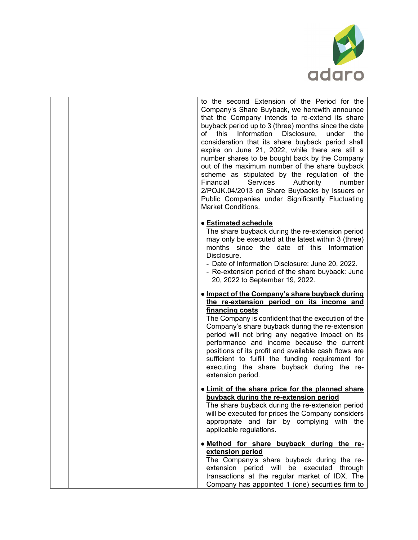

|  | to the second Extension of the Period for the<br>Company's Share Buyback, we herewith announce<br>that the Company intends to re-extend its share<br>buyback period up to 3 (three) months since the date<br>of this Information Disclosure, under<br>the<br>consideration that its share buyback period shall<br>expire on June 21, 2022, while there are still a<br>number shares to be bought back by the Company<br>out of the maximum number of the share buyback<br>scheme as stipulated by the regulation of the<br><b>Services</b><br>Authority<br>Financial<br>number<br>2/POJK.04/2013 on Share Buybacks by Issuers or<br>Public Companies under Significantly Fluctuating<br><b>Market Conditions.</b> |
|--|-------------------------------------------------------------------------------------------------------------------------------------------------------------------------------------------------------------------------------------------------------------------------------------------------------------------------------------------------------------------------------------------------------------------------------------------------------------------------------------------------------------------------------------------------------------------------------------------------------------------------------------------------------------------------------------------------------------------|
|  | <b>• Estimated schedule</b><br>The share buyback during the re-extension period<br>may only be executed at the latest within 3 (three)<br>months since the date of this Information<br>Disclosure.<br>- Date of Information Disclosure: June 20, 2022.<br>- Re-extension period of the share buyback: June<br>20, 2022 to September 19, 2022.                                                                                                                                                                                                                                                                                                                                                                     |
|  | • Impact of the Company's share buyback during<br>the re-extension period on its income and<br>financing costs<br>The Company is confident that the execution of the<br>Company's share buyback during the re-extension<br>period will not bring any negative impact on its<br>performance and income because the current<br>positions of its profit and available cash flows are<br>sufficient to fulfill the funding requirement for<br>executing the share buyback during the re-<br>extension period.                                                                                                                                                                                                         |
|  | . Limit of the share price for the planned share<br>buyback during the re-extension period<br>The share buyback during the re-extension period<br>will be executed for prices the Company considers<br>appropriate and fair by complying with the<br>applicable regulations.                                                                                                                                                                                                                                                                                                                                                                                                                                      |
|  | . Method for share buyback during the re-<br>extension period<br>The Company's share buyback during the re-<br>extension period will be executed through<br>transactions at the regular market of IDX. The<br>Company has appointed 1 (one) securities firm to                                                                                                                                                                                                                                                                                                                                                                                                                                                    |